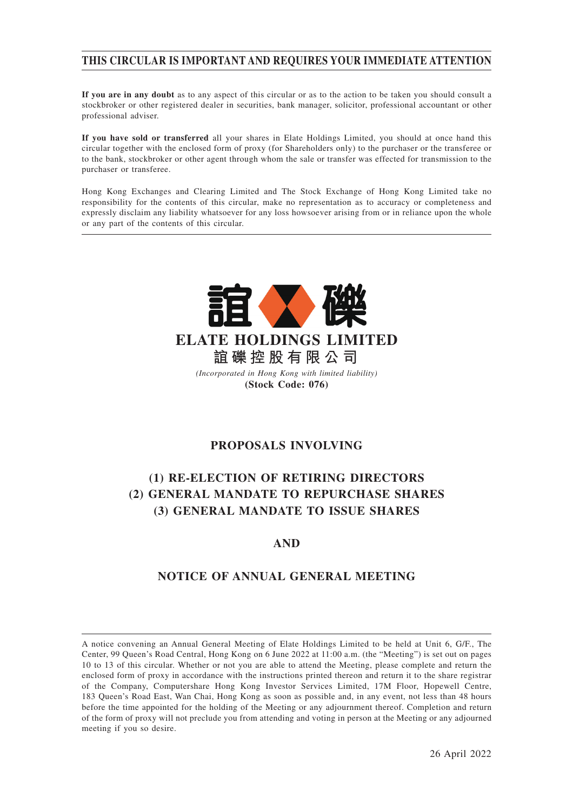# **THIS CIRCULAR IS IMPORTANT AND REQUIRES YOUR IMMEDIATE ATTENTION**

**If you are in any doubt** as to any aspect of this circular or as to the action to be taken you should consult a stockbroker or other registered dealer in securities, bank manager, solicitor, professional accountant or other professional adviser.

**If you have sold or transferred** all your shares in Elate Holdings Limited, you should at once hand this circular together with the enclosed form of proxy (for Shareholders only) to the purchaser or the transferee or to the bank, stockbroker or other agent through whom the sale or transfer was effected for transmission to the purchaser or transferee.

Hong Kong Exchanges and Clearing Limited and The Stock Exchange of Hong Kong Limited take no responsibility for the contents of this circular, make no representation as to accuracy or completeness and expressly disclaim any liability whatsoever for any loss howsoever arising from or in reliance upon the whole or any part of the contents of this circular.



# **PROPOSALS INVOLVING**

# **(1) RE-ELECTION OF RETIRING DIRECTORS (2) GENERAL MANDATE TO REPURCHASE SHARES (3) GENERAL MANDATE TO ISSUE SHARES**

# **AND**

# **NOTICE OF ANNUAL GENERAL MEETING**

A notice convening an Annual General Meeting of Elate Holdings Limited to be held at Unit 6, G/F., The Center, 99 Queen's Road Central, Hong Kong on 6 June 2022 at 11:00 a.m. (the "Meeting") is set out on pages 10 to 13 of this circular. Whether or not you are able to attend the Meeting, please complete and return the enclosed form of proxy in accordance with the instructions printed thereon and return it to the share registrar of the Company, Computershare Hong Kong Investor Services Limited, 17M Floor, Hopewell Centre, 183 Queen's Road East, Wan Chai, Hong Kong as soon as possible and, in any event, not less than 48 hours before the time appointed for the holding of the Meeting or any adjournment thereof. Completion and return of the form of proxy will not preclude you from attending and voting in person at the Meeting or any adjourned meeting if you so desire.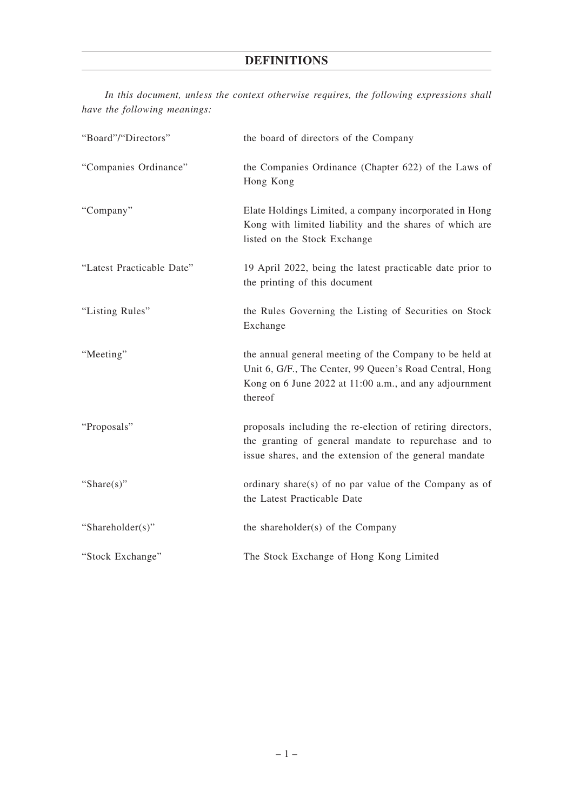# **DEFINITIONS**

| "Board"/"Directors"       | the board of directors of the Company                                                                                                                                                   |  |
|---------------------------|-----------------------------------------------------------------------------------------------------------------------------------------------------------------------------------------|--|
| "Companies Ordinance"     | the Companies Ordinance (Chapter 622) of the Laws of<br>Hong Kong                                                                                                                       |  |
| "Company"                 | Elate Holdings Limited, a company incorporated in Hong<br>Kong with limited liability and the shares of which are<br>listed on the Stock Exchange                                       |  |
| "Latest Practicable Date" | 19 April 2022, being the latest practicable date prior to<br>the printing of this document                                                                                              |  |
| "Listing Rules"           | the Rules Governing the Listing of Securities on Stock<br>Exchange                                                                                                                      |  |
| "Meeting"                 | the annual general meeting of the Company to be held at<br>Unit 6, G/F., The Center, 99 Queen's Road Central, Hong<br>Kong on 6 June 2022 at 11:00 a.m., and any adjournment<br>thereof |  |
| "Proposals"               | proposals including the re-election of retiring directors,<br>the granting of general mandate to repurchase and to<br>issue shares, and the extension of the general mandate            |  |
| "Share $(s)$ "            | ordinary share(s) of no par value of the Company as of<br>the Latest Practicable Date                                                                                                   |  |
| "Shareholder(s)"          | the shareholder(s) of the Company                                                                                                                                                       |  |
| "Stock Exchange"          | The Stock Exchange of Hong Kong Limited                                                                                                                                                 |  |

*In this document, unless the context otherwise requires, the following expressions shall have the following meanings:*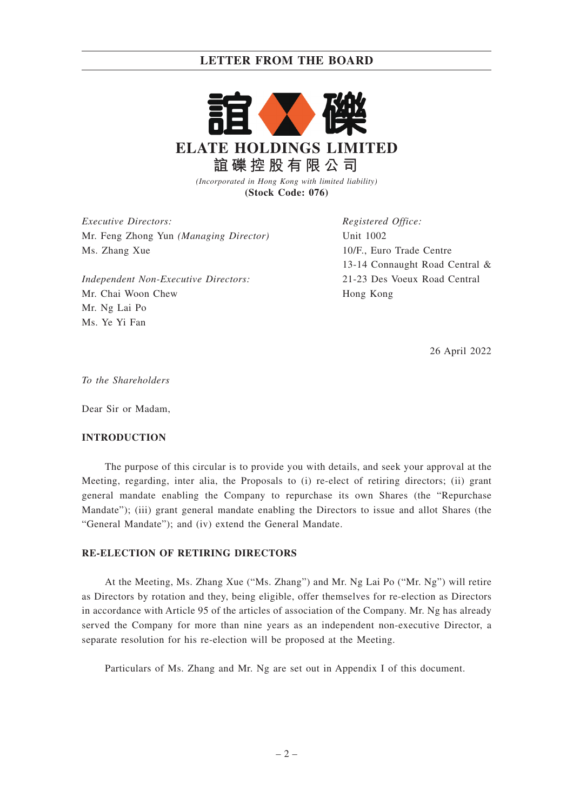# **LETTER FROM THE BOARD**



*(Incorporated in Hong Kong with limited liability)* **(Stock Code: 076)**

*Executive Directors:* Mr. Feng Zhong Yun *(Managing Director)* Ms. Zhang Xue

*Independent Non-Executive Directors:* Mr. Chai Woon Chew Mr. Ng Lai Po Ms. Ye Yi Fan

*Registered Office:* Unit 1002 10/F., Euro Trade Centre 13-14 Connaught Road Central & 21-23 Des Voeux Road Central Hong Kong

26 April 2022

*To the Shareholders*

Dear Sir or Madam,

### **INTRODUCTION**

The purpose of this circular is to provide you with details, and seek your approval at the Meeting, regarding, inter alia, the Proposals to (i) re-elect of retiring directors; (ii) grant general mandate enabling the Company to repurchase its own Shares (the "Repurchase Mandate"); (iii) grant general mandate enabling the Directors to issue and allot Shares (the "General Mandate"); and (iv) extend the General Mandate.

### **RE-ELECTION OF RETIRING DIRECTORS**

At the Meeting, Ms. Zhang Xue ("Ms. Zhang") and Mr. Ng Lai Po ("Mr. Ng") will retire as Directors by rotation and they, being eligible, offer themselves for re-election as Directors in accordance with Article 95 of the articles of association of the Company. Mr. Ng has already served the Company for more than nine years as an independent non-executive Director, a separate resolution for his re-election will be proposed at the Meeting.

Particulars of Ms. Zhang and Mr. Ng are set out in Appendix I of this document.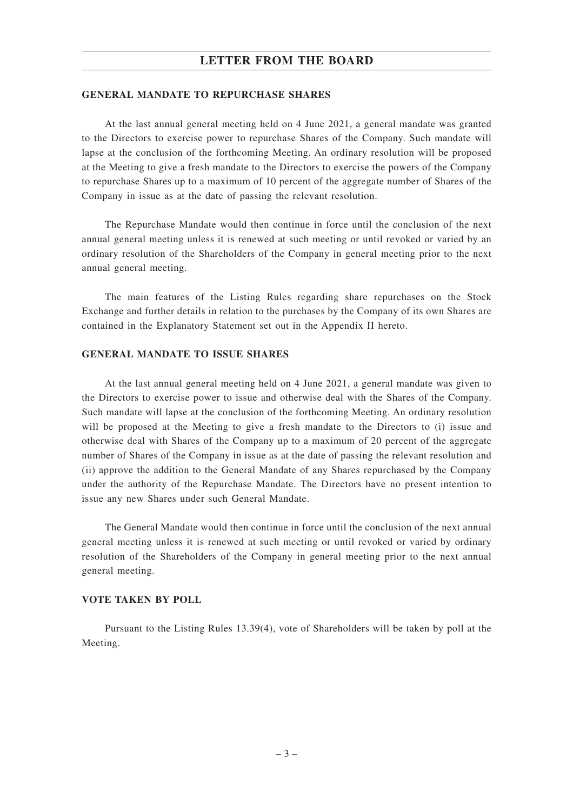# **LETTER FROM THE BOARD**

#### **GENERAL MANDATE TO REPURCHASE SHARES**

At the last annual general meeting held on 4 June 2021, a general mandate was granted to the Directors to exercise power to repurchase Shares of the Company. Such mandate will lapse at the conclusion of the forthcoming Meeting. An ordinary resolution will be proposed at the Meeting to give a fresh mandate to the Directors to exercise the powers of the Company to repurchase Shares up to a maximum of 10 percent of the aggregate number of Shares of the Company in issue as at the date of passing the relevant resolution.

The Repurchase Mandate would then continue in force until the conclusion of the next annual general meeting unless it is renewed at such meeting or until revoked or varied by an ordinary resolution of the Shareholders of the Company in general meeting prior to the next annual general meeting.

The main features of the Listing Rules regarding share repurchases on the Stock Exchange and further details in relation to the purchases by the Company of its own Shares are contained in the Explanatory Statement set out in the Appendix II hereto.

## **GENERAL MANDATE TO ISSUE SHARES**

At the last annual general meeting held on 4 June 2021, a general mandate was given to the Directors to exercise power to issue and otherwise deal with the Shares of the Company. Such mandate will lapse at the conclusion of the forthcoming Meeting. An ordinary resolution will be proposed at the Meeting to give a fresh mandate to the Directors to (i) issue and otherwise deal with Shares of the Company up to a maximum of 20 percent of the aggregate number of Shares of the Company in issue as at the date of passing the relevant resolution and (ii) approve the addition to the General Mandate of any Shares repurchased by the Company under the authority of the Repurchase Mandate. The Directors have no present intention to issue any new Shares under such General Mandate.

The General Mandate would then continue in force until the conclusion of the next annual general meeting unless it is renewed at such meeting or until revoked or varied by ordinary resolution of the Shareholders of the Company in general meeting prior to the next annual general meeting.

## **VOTE TAKEN BY POLL**

Pursuant to the Listing Rules 13.39(4), vote of Shareholders will be taken by poll at the Meeting.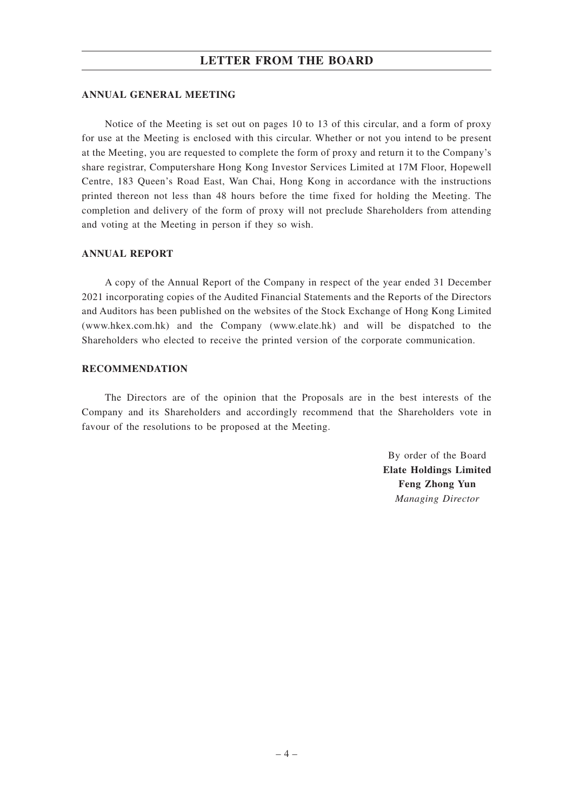# **LETTER FROM THE BOARD**

### **ANNUAL GENERAL MEETING**

Notice of the Meeting is set out on pages 10 to 13 of this circular, and a form of proxy for use at the Meeting is enclosed with this circular. Whether or not you intend to be present at the Meeting, you are requested to complete the form of proxy and return it to the Company's share registrar, Computershare Hong Kong Investor Services Limited at 17M Floor, Hopewell Centre, 183 Queen's Road East, Wan Chai, Hong Kong in accordance with the instructions printed thereon not less than 48 hours before the time fixed for holding the Meeting. The completion and delivery of the form of proxy will not preclude Shareholders from attending and voting at the Meeting in person if they so wish.

## **ANNUAL REPORT**

A copy of the Annual Report of the Company in respect of the year ended 31 December 2021 incorporating copies of the Audited Financial Statements and the Reports of the Directors and Auditors has been published on the websites of the Stock Exchange of Hong Kong Limited (www.hkex.com.hk) and the Company (www.elate.hk) and will be dispatched to the Shareholders who elected to receive the printed version of the corporate communication.

#### **RECOMMENDATION**

The Directors are of the opinion that the Proposals are in the best interests of the Company and its Shareholders and accordingly recommend that the Shareholders vote in favour of the resolutions to be proposed at the Meeting.

> By order of the Board **Elate Holdings Limited Feng Zhong Yun** *Managing Director*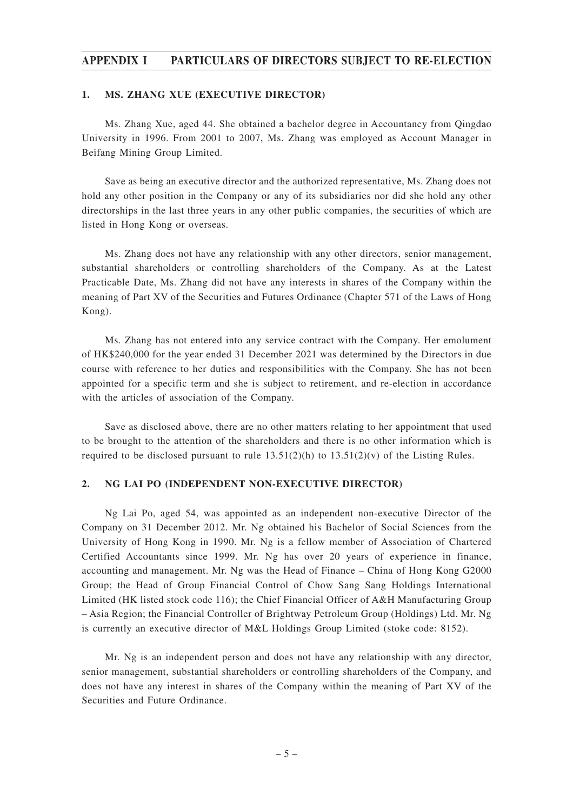## **APPENDIX I PARTICULARS OF DIRECTORS SUBJECT TO RE-ELECTION**

#### **1. MS. ZHANG XUE (EXECUTIVE DIRECTOR)**

Ms. Zhang Xue, aged 44. She obtained a bachelor degree in Accountancy from Qingdao University in 1996. From 2001 to 2007, Ms. Zhang was employed as Account Manager in Beifang Mining Group Limited.

Save as being an executive director and the authorized representative, Ms. Zhang does not hold any other position in the Company or any of its subsidiaries nor did she hold any other directorships in the last three years in any other public companies, the securities of which are listed in Hong Kong or overseas.

Ms. Zhang does not have any relationship with any other directors, senior management, substantial shareholders or controlling shareholders of the Company. As at the Latest Practicable Date, Ms. Zhang did not have any interests in shares of the Company within the meaning of Part XV of the Securities and Futures Ordinance (Chapter 571 of the Laws of Hong Kong).

Ms. Zhang has not entered into any service contract with the Company. Her emolument of HK\$240,000 for the year ended 31 December 2021 was determined by the Directors in due course with reference to her duties and responsibilities with the Company. She has not been appointed for a specific term and she is subject to retirement, and re-election in accordance with the articles of association of the Company.

Save as disclosed above, there are no other matters relating to her appointment that used to be brought to the attention of the shareholders and there is no other information which is required to be disclosed pursuant to rule  $13.51(2)(h)$  to  $13.51(2)(v)$  of the Listing Rules.

### **2. NG LAI PO (INDEPENDENT NON-EXECUTIVE DIRECTOR)**

Ng Lai Po, aged 54, was appointed as an independent non-executive Director of the Company on 31 December 2012. Mr. Ng obtained his Bachelor of Social Sciences from the University of Hong Kong in 1990. Mr. Ng is a fellow member of Association of Chartered Certified Accountants since 1999. Mr. Ng has over 20 years of experience in finance, accounting and management. Mr. Ng was the Head of Finance – China of Hong Kong G2000 Group; the Head of Group Financial Control of Chow Sang Sang Holdings International Limited (HK listed stock code 116); the Chief Financial Officer of A&H Manufacturing Group – Asia Region; the Financial Controller of Brightway Petroleum Group (Holdings) Ltd. Mr. Ng is currently an executive director of M&L Holdings Group Limited (stoke code: 8152).

Mr. Ng is an independent person and does not have any relationship with any director, senior management, substantial shareholders or controlling shareholders of the Company, and does not have any interest in shares of the Company within the meaning of Part XV of the Securities and Future Ordinance.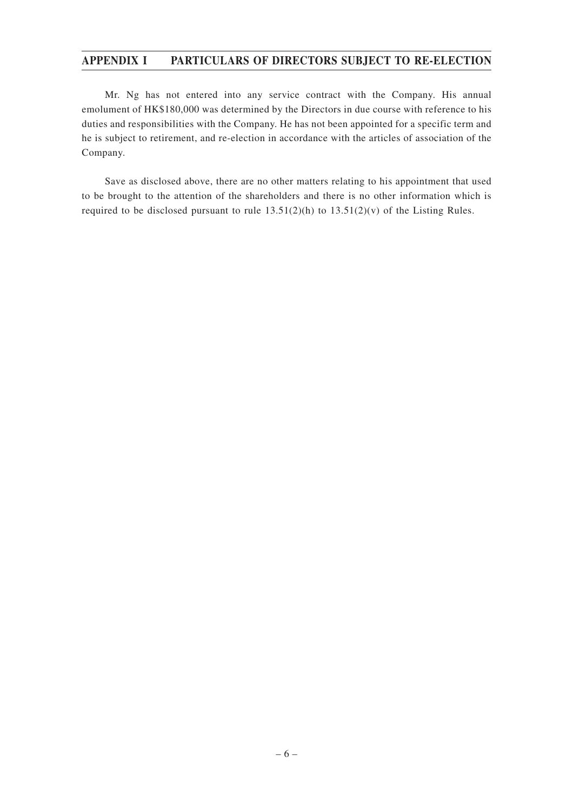# **APPENDIX I PARTICULARS OF DIRECTORS SUBJECT TO RE-ELECTION**

Mr. Ng has not entered into any service contract with the Company. His annual emolument of HK\$180,000 was determined by the Directors in due course with reference to his duties and responsibilities with the Company. He has not been appointed for a specific term and he is subject to retirement, and re-election in accordance with the articles of association of the Company.

Save as disclosed above, there are no other matters relating to his appointment that used to be brought to the attention of the shareholders and there is no other information which is required to be disclosed pursuant to rule  $13.51(2)(h)$  to  $13.51(2)(v)$  of the Listing Rules.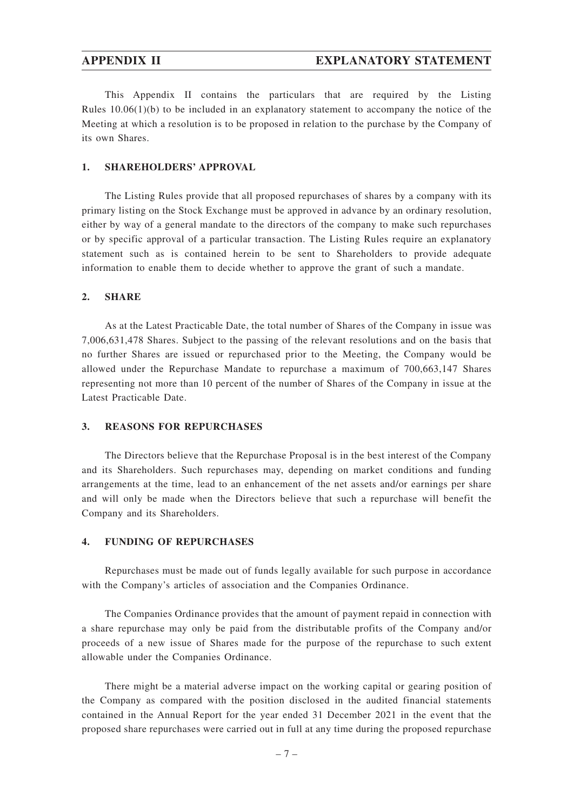This Appendix II contains the particulars that are required by the Listing Rules  $10.06(1)(b)$  to be included in an explanatory statement to accompany the notice of the Meeting at which a resolution is to be proposed in relation to the purchase by the Company of its own Shares.

#### **1. SHAREHOLDERS' APPROVAL**

The Listing Rules provide that all proposed repurchases of shares by a company with its primary listing on the Stock Exchange must be approved in advance by an ordinary resolution, either by way of a general mandate to the directors of the company to make such repurchases or by specific approval of a particular transaction. The Listing Rules require an explanatory statement such as is contained herein to be sent to Shareholders to provide adequate information to enable them to decide whether to approve the grant of such a mandate.

### **2. SHARE**

As at the Latest Practicable Date, the total number of Shares of the Company in issue was 7,006,631,478 Shares. Subject to the passing of the relevant resolutions and on the basis that no further Shares are issued or repurchased prior to the Meeting, the Company would be allowed under the Repurchase Mandate to repurchase a maximum of 700,663,147 Shares representing not more than 10 percent of the number of Shares of the Company in issue at the Latest Practicable Date.

## **3. REASONS FOR REPURCHASES**

The Directors believe that the Repurchase Proposal is in the best interest of the Company and its Shareholders. Such repurchases may, depending on market conditions and funding arrangements at the time, lead to an enhancement of the net assets and/or earnings per share and will only be made when the Directors believe that such a repurchase will benefit the Company and its Shareholders.

### **4. FUNDING OF REPURCHASES**

Repurchases must be made out of funds legally available for such purpose in accordance with the Company's articles of association and the Companies Ordinance.

The Companies Ordinance provides that the amount of payment repaid in connection with a share repurchase may only be paid from the distributable profits of the Company and/or proceeds of a new issue of Shares made for the purpose of the repurchase to such extent allowable under the Companies Ordinance.

There might be a material adverse impact on the working capital or gearing position of the Company as compared with the position disclosed in the audited financial statements contained in the Annual Report for the year ended 31 December 2021 in the event that the proposed share repurchases were carried out in full at any time during the proposed repurchase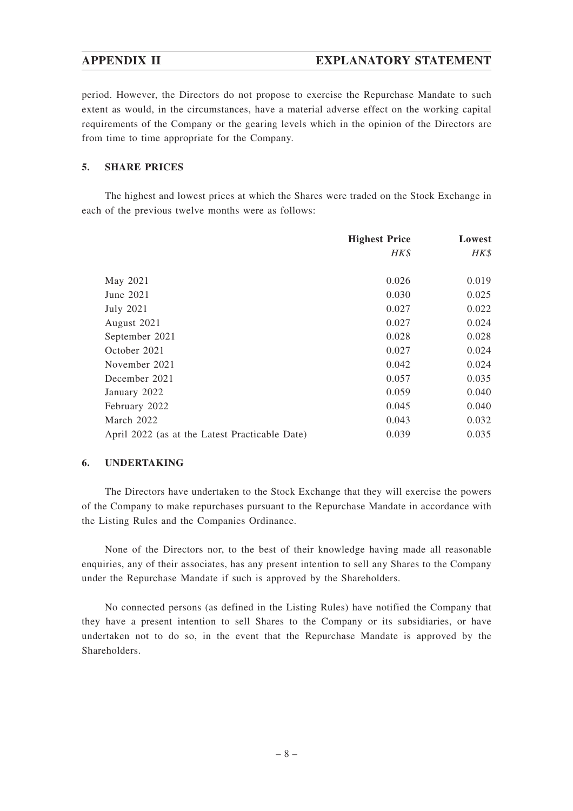# **APPENDIX II EXPLANATORY STATEMENT**

period. However, the Directors do not propose to exercise the Repurchase Mandate to such extent as would, in the circumstances, have a material adverse effect on the working capital requirements of the Company or the gearing levels which in the opinion of the Directors are from time to time appropriate for the Company.

## **5. SHARE PRICES**

The highest and lowest prices at which the Shares were traded on the Stock Exchange in each of the previous twelve months were as follows:

|                                                | <b>Highest Price</b> | Lowest |
|------------------------------------------------|----------------------|--------|
|                                                | HK\$                 | HK\$   |
|                                                |                      |        |
| May 2021                                       | 0.026                | 0.019  |
| June 2021                                      | 0.030                | 0.025  |
| <b>July 2021</b>                               | 0.027                | 0.022  |
| August 2021                                    | 0.027                | 0.024  |
| September 2021                                 | 0.028                | 0.028  |
| October 2021                                   | 0.027                | 0.024  |
| November 2021                                  | 0.042                | 0.024  |
| December 2021                                  | 0.057                | 0.035  |
| January 2022                                   | 0.059                | 0.040  |
| February 2022                                  | 0.045                | 0.040  |
| March 2022                                     | 0.043                | 0.032  |
| April 2022 (as at the Latest Practicable Date) | 0.039                | 0.035  |

## **6. UNDERTAKING**

The Directors have undertaken to the Stock Exchange that they will exercise the powers of the Company to make repurchases pursuant to the Repurchase Mandate in accordance with the Listing Rules and the Companies Ordinance.

None of the Directors nor, to the best of their knowledge having made all reasonable enquiries, any of their associates, has any present intention to sell any Shares to the Company under the Repurchase Mandate if such is approved by the Shareholders.

No connected persons (as defined in the Listing Rules) have notified the Company that they have a present intention to sell Shares to the Company or its subsidiaries, or have undertaken not to do so, in the event that the Repurchase Mandate is approved by the Shareholders.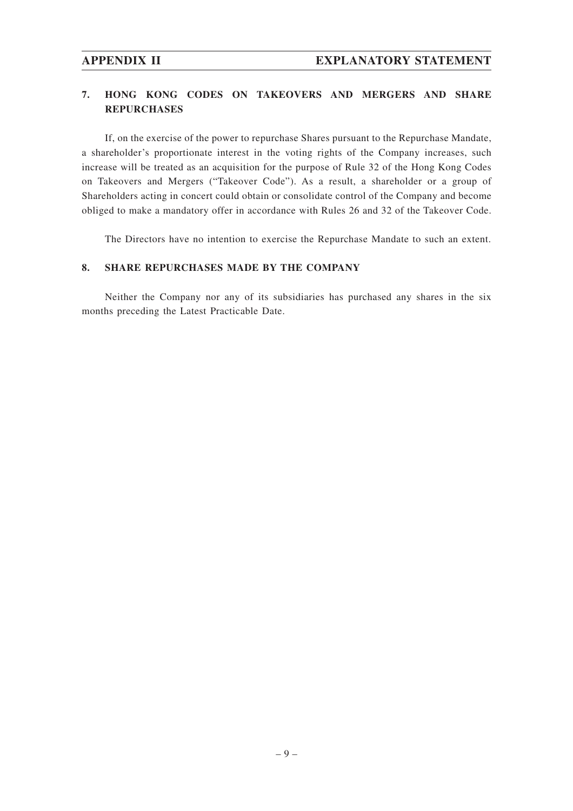# **7. HONG KONG CODES ON TAKEOVERS AND MERGERS AND SHARE REPURCHASES**

If, on the exercise of the power to repurchase Shares pursuant to the Repurchase Mandate, a shareholder's proportionate interest in the voting rights of the Company increases, such increase will be treated as an acquisition for the purpose of Rule 32 of the Hong Kong Codes on Takeovers and Mergers ("Takeover Code"). As a result, a shareholder or a group of Shareholders acting in concert could obtain or consolidate control of the Company and become obliged to make a mandatory offer in accordance with Rules 26 and 32 of the Takeover Code.

The Directors have no intention to exercise the Repurchase Mandate to such an extent.

## **8. SHARE REPURCHASES MADE BY THE COMPANY**

Neither the Company nor any of its subsidiaries has purchased any shares in the six months preceding the Latest Practicable Date.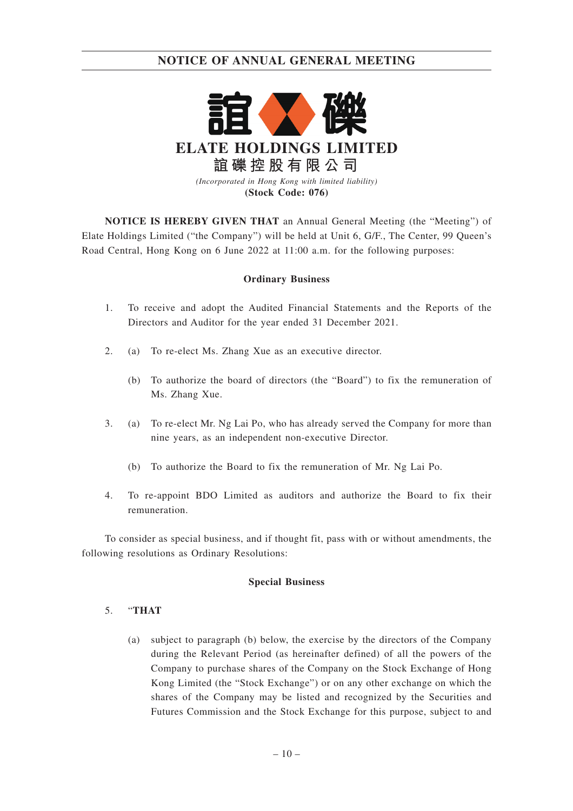

**NOTICE IS HEREBY GIVEN THAT** an Annual General Meeting (the "Meeting") of Elate Holdings Limited ("the Company") will be held at Unit 6, G/F., The Center, 99 Queen's Road Central, Hong Kong on 6 June 2022 at 11:00 a.m. for the following purposes:

## **Ordinary Business**

- 1. To receive and adopt the Audited Financial Statements and the Reports of the Directors and Auditor for the year ended 31 December 2021.
- 2. (a) To re-elect Ms. Zhang Xue as an executive director.
	- (b) To authorize the board of directors (the "Board") to fix the remuneration of Ms. Zhang Xue.
- 3. (a) To re-elect Mr. Ng Lai Po, who has already served the Company for more than nine years, as an independent non-executive Director.
	- (b) To authorize the Board to fix the remuneration of Mr. Ng Lai Po.
- 4. To re-appoint BDO Limited as auditors and authorize the Board to fix their remuneration.

To consider as special business, and if thought fit, pass with or without amendments, the following resolutions as Ordinary Resolutions:

## **Special Business**

## 5. "**THAT**

(a) subject to paragraph (b) below, the exercise by the directors of the Company during the Relevant Period (as hereinafter defined) of all the powers of the Company to purchase shares of the Company on the Stock Exchange of Hong Kong Limited (the "Stock Exchange") or on any other exchange on which the shares of the Company may be listed and recognized by the Securities and Futures Commission and the Stock Exchange for this purpose, subject to and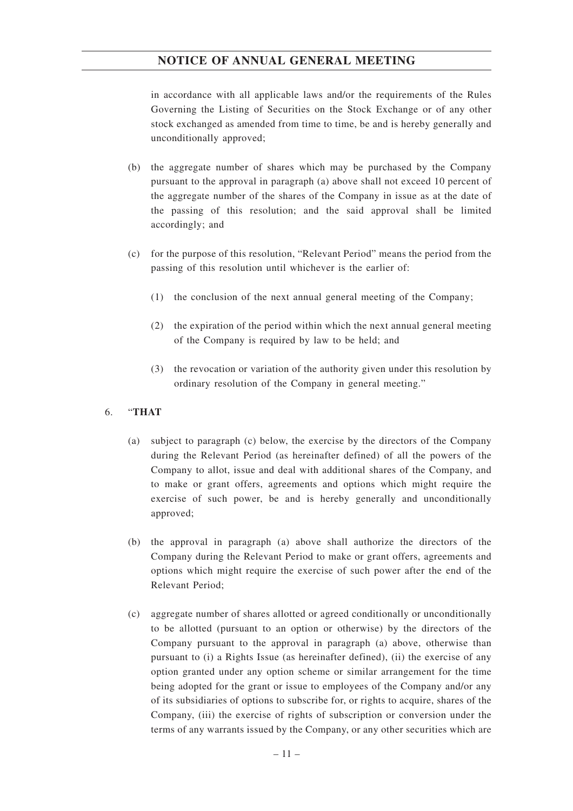in accordance with all applicable laws and/or the requirements of the Rules Governing the Listing of Securities on the Stock Exchange or of any other stock exchanged as amended from time to time, be and is hereby generally and unconditionally approved;

- (b) the aggregate number of shares which may be purchased by the Company pursuant to the approval in paragraph (a) above shall not exceed 10 percent of the aggregate number of the shares of the Company in issue as at the date of the passing of this resolution; and the said approval shall be limited accordingly; and
- (c) for the purpose of this resolution, "Relevant Period" means the period from the passing of this resolution until whichever is the earlier of:
	- (1) the conclusion of the next annual general meeting of the Company;
	- (2) the expiration of the period within which the next annual general meeting of the Company is required by law to be held; and
	- (3) the revocation or variation of the authority given under this resolution by ordinary resolution of the Company in general meeting."

## 6. "**THAT**

- (a) subject to paragraph (c) below, the exercise by the directors of the Company during the Relevant Period (as hereinafter defined) of all the powers of the Company to allot, issue and deal with additional shares of the Company, and to make or grant offers, agreements and options which might require the exercise of such power, be and is hereby generally and unconditionally approved;
- (b) the approval in paragraph (a) above shall authorize the directors of the Company during the Relevant Period to make or grant offers, agreements and options which might require the exercise of such power after the end of the Relevant Period;
- (c) aggregate number of shares allotted or agreed conditionally or unconditionally to be allotted (pursuant to an option or otherwise) by the directors of the Company pursuant to the approval in paragraph (a) above, otherwise than pursuant to (i) a Rights Issue (as hereinafter defined), (ii) the exercise of any option granted under any option scheme or similar arrangement for the time being adopted for the grant or issue to employees of the Company and/or any of its subsidiaries of options to subscribe for, or rights to acquire, shares of the Company, (iii) the exercise of rights of subscription or conversion under the terms of any warrants issued by the Company, or any other securities which are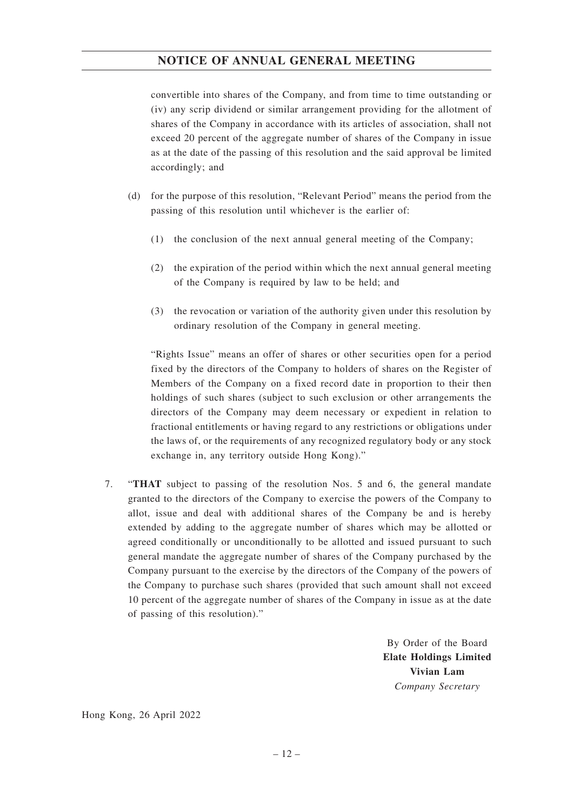convertible into shares of the Company, and from time to time outstanding or (iv) any scrip dividend or similar arrangement providing for the allotment of shares of the Company in accordance with its articles of association, shall not exceed 20 percent of the aggregate number of shares of the Company in issue as at the date of the passing of this resolution and the said approval be limited accordingly; and

- (d) for the purpose of this resolution, "Relevant Period" means the period from the passing of this resolution until whichever is the earlier of:
	- (1) the conclusion of the next annual general meeting of the Company;
	- (2) the expiration of the period within which the next annual general meeting of the Company is required by law to be held; and
	- (3) the revocation or variation of the authority given under this resolution by ordinary resolution of the Company in general meeting.

"Rights Issue" means an offer of shares or other securities open for a period fixed by the directors of the Company to holders of shares on the Register of Members of the Company on a fixed record date in proportion to their then holdings of such shares (subject to such exclusion or other arrangements the directors of the Company may deem necessary or expedient in relation to fractional entitlements or having regard to any restrictions or obligations under the laws of, or the requirements of any recognized regulatory body or any stock exchange in, any territory outside Hong Kong)."

7. "**THAT** subject to passing of the resolution Nos. 5 and 6, the general mandate granted to the directors of the Company to exercise the powers of the Company to allot, issue and deal with additional shares of the Company be and is hereby extended by adding to the aggregate number of shares which may be allotted or agreed conditionally or unconditionally to be allotted and issued pursuant to such general mandate the aggregate number of shares of the Company purchased by the Company pursuant to the exercise by the directors of the Company of the powers of the Company to purchase such shares (provided that such amount shall not exceed 10 percent of the aggregate number of shares of the Company in issue as at the date of passing of this resolution)."

> By Order of the Board **Elate Holdings Limited Vivian Lam** *Company Secretary*

Hong Kong, 26 April 2022